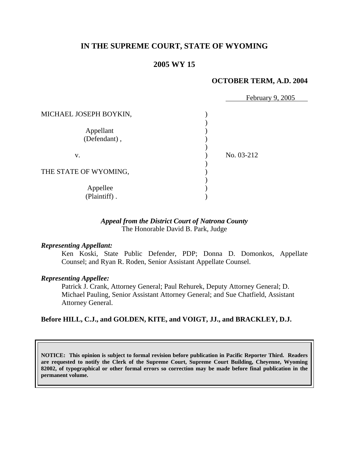# **IN THE SUPREME COURT, STATE OF WYOMING**

## **2005 WY 15**

### **OCTOBER TERM, A.D. 2004**

|                           | February 9, 2005 |
|---------------------------|------------------|
| MICHAEL JOSEPH BOYKIN,    |                  |
| Appellant<br>(Defendant), |                  |
| V.                        | No. 03-212       |
| THE STATE OF WYOMING,     |                  |
| Appellee<br>(Plaintiff).  |                  |

### *Appeal from the District Court of Natrona County* The Honorable David B. Park, Judge

### *Representing Appellant:*

Ken Koski, State Public Defender, PDP; Donna D. Domonkos, Appellate Counsel; and Ryan R. Roden, Senior Assistant Appellate Counsel.

#### *Representing Appellee:*

Patrick J. Crank, Attorney General; Paul Rehurek, Deputy Attorney General; D. Michael Pauling, Senior Assistant Attorney General; and Sue Chatfield, Assistant Attorney General.

### **Before HILL, C.J., and GOLDEN, KITE, and VOIGT, JJ., and BRACKLEY, D.J.**

**NOTICE: This opinion is subject to formal revision before publication in Pacific Reporter Third. Readers are requested to notify the Clerk of the Supreme Court, Supreme Court Building, Cheyenne, Wyoming 82002, of typographical or other formal errors so correction may be made before final publication in the permanent volume.**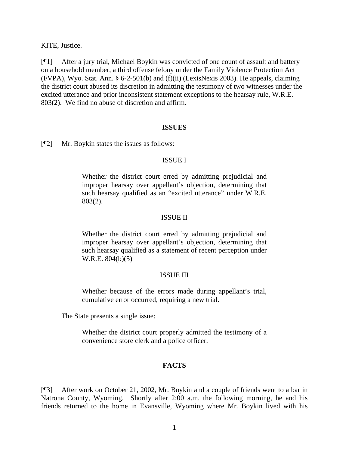KITE, Justice.

[¶1] After a jury trial, Michael Boykin was convicted of one count of assault and battery on a household member, a third offense felony under the Family Violence Protection Act (FVPA), Wyo. Stat. Ann. § 6-2-501(b) and (f)(ii) (LexisNexis 2003). He appeals, claiming the district court abused its discretion in admitting the testimony of two witnesses under the excited utterance and prior inconsistent statement exceptions to the hearsay rule, W.R.E. 803(2). We find no abuse of discretion and affirm.

#### **ISSUES**

[¶2] Mr. Boykin states the issues as follows:

#### ISSUE I

Whether the district court erred by admitting prejudicial and improper hearsay over appellant's objection, determining that such hearsay qualified as an "excited utterance" under W.R.E. 803(2).

### ISSUE II

Whether the district court erred by admitting prejudicial and improper hearsay over appellant's objection, determining that such hearsay qualified as a statement of recent perception under W.R.E. 804(b)(5)

### ISSUE III

Whether because of the errors made during appellant's trial, cumulative error occurred, requiring a new trial.

The State presents a single issue:

Whether the district court properly admitted the testimony of a convenience store clerk and a police officer.

### **FACTS**

[¶3] After work on October 21, 2002, Mr. Boykin and a couple of friends went to a bar in Natrona County, Wyoming. Shortly after 2:00 a.m. the following morning, he and his friends returned to the home in Evansville, Wyoming where Mr. Boykin lived with his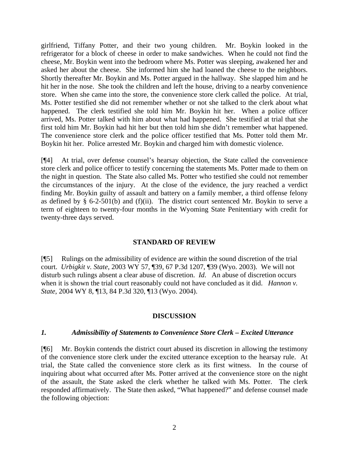girlfriend, Tiffany Potter, and their two young children. Mr. Boykin looked in the refrigerator for a block of cheese in order to make sandwiches. When he could not find the cheese, Mr. Boykin went into the bedroom where Ms. Potter was sleeping, awakened her and asked her about the cheese. She informed him she had loaned the cheese to the neighbors. Shortly thereafter Mr. Boykin and Ms. Potter argued in the hallway. She slapped him and he hit her in the nose. She took the children and left the house, driving to a nearby convenience store. When she came into the store, the convenience store clerk called the police. At trial, Ms. Potter testified she did not remember whether or not she talked to the clerk about what happened. The clerk testified she told him Mr. Boykin hit her. When a police officer arrived, Ms. Potter talked with him about what had happened. She testified at trial that she first told him Mr. Boykin had hit her but then told him she didn't remember what happened. The convenience store clerk and the police officer testified that Ms. Potter told them Mr. Boykin hit her. Police arrested Mr. Boykin and charged him with domestic violence.

[¶4] At trial, over defense counsel's hearsay objection, the State called the convenience store clerk and police officer to testify concerning the statements Ms. Potter made to them on the night in question. The State also called Ms. Potter who testified she could not remember the circumstances of the injury. At the close of the evidence, the jury reached a verdict finding Mr. Boykin guilty of assault and battery on a family member, a third offense felony as defined by  $\S$  6-2-501(b) and (f)(ii). The district court sentenced Mr. Boykin to serve a term of eighteen to twenty-four months in the Wyoming State Penitentiary with credit for twenty-three days served.

### **STANDARD OF REVIEW**

[¶5] Rulings on the admissibility of evidence are within the sound discretion of the trial court. *Urbigkit v. State*, 2003 WY 57, ¶39, 67 P.3d 1207, ¶39 (Wyo. 2003). We will not disturb such rulings absent a clear abuse of discretion. *Id*. An abuse of discretion occurs when it is shown the trial court reasonably could not have concluded as it did. *Hannon v*. *State*, 2004 WY 8, ¶13, 84 P.3d 320, ¶13 (Wyo. 2004).

### **DISCUSSION**

### *1. Admissibility of Statements to Convenience Store Clerk – Excited Utterance*

[¶6] Mr. Boykin contends the district court abused its discretion in allowing the testimony of the convenience store clerk under the excited utterance exception to the hearsay rule. At trial, the State called the convenience store clerk as its first witness. In the course of inquiring about what occurred after Ms. Potter arrived at the convenience store on the night of the assault, the State asked the clerk whether he talked with Ms. Potter. The clerk responded affirmatively. The State then asked, "What happened?" and defense counsel made the following objection: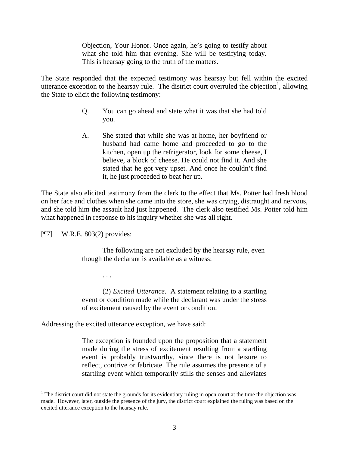Objection, Your Honor. Once again, he's going to testify about what she told him that evening. She will be testifying today. This is hearsay going to the truth of the matters.

The State responded that the expected testimony was hearsay but fell within the excited utterance exception to the hearsay rule. The district court overruled the objection<sup>1</sup>[,](#page-4-0) allowing the State to elicit the following testimony:

- Q. You can go ahead and state what it was that she had told you.
- A. She stated that while she was at home, her boyfriend or husband had came home and proceeded to go to the kitchen, open up the refrigerator, look for some cheese, I believe, a block of cheese. He could not find it. And she stated that he got very upset. And once he couldn't find it, he just proceeded to beat her up.

The State also elicited testimony from the clerk to the effect that Ms. Potter had fresh blood on her face and clothes when she came into the store, she was crying, distraught and nervous, and she told him the assault had just happened. The clerk also testified Ms. Potter told him what happened in response to his inquiry whether she was all right.

[¶7] W.R.E. 803(2) provides:

The following are not excluded by the hearsay rule, even though the declarant is available as a witness:

 (2) *Excited Utterance*. A statement relating to a startling event or condition made while the declarant was under the stress of excitement caused by the event or condition.

Addressing the excited utterance exception, we have said:

. . .

The exception is founded upon the proposition that a statement made during the stress of excitement resulting from a startling event is probably trustworthy, since there is not leisure to reflect, contrive or fabricate. The rule assumes the presence of a startling event which temporarily stills the senses and alleviates

<span id="page-4-0"></span><sup>&</sup>lt;sup>1</sup> The district court did not state the grounds for its evidentiary ruling in open court at the time the objection was made. However, later, outside the presence of the jury, the district court explained the ruling was based on the excited utterance exception to the hearsay rule.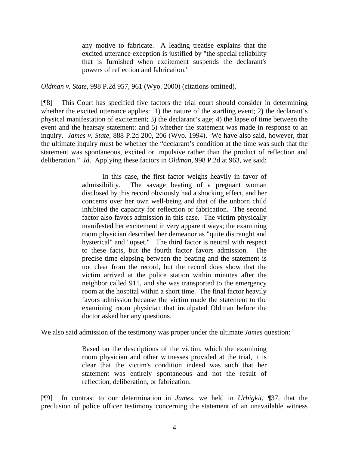any motive to fabricate. A leading treatise explains that the excited utterance exception is justified by "the special reliability that is furnished when excitement suspends the declarant's powers of reflection and fabrication."

*Oldman v. State*, 998 P.2d 957, 961 (Wyo. 2000) (citations omitted).

[¶8] This Court has specified five factors the trial court should consider in determining whether the excited utterance applies: 1) the nature of the startling event; 2) the declarant's physical manifestation of excitement; 3) the declarant's age; 4) the lapse of time between the event and the hearsay statement: and 5) whether the statement was made in response to an inquiry. *James v. State*, 888 P.2d 200, 206 (Wyo. 1994). We have also said, however, that the ultimate inquiry must be whether the "declarant's condition at the time was such that the statement was spontaneous, excited or impulsive rather than the product of reflection and deliberation." *Id*. Applying these factors in *Oldman,* 998 P.2d at 963, we said:

> In this case, the first factor weighs heavily in favor of admissibility. The savage beating of a pregnant woman disclosed by this record obviously had a shocking effect, and her concerns over her own well-being and that of the unborn child inhibited the capacity for reflection or fabrication. The second factor also favors admission in this case. The victim physically manifested her excitement in very apparent ways; the examining room physician described her demeanor as "quite distraught and hysterical" and "upset." The third factor is neutral with respect to these facts, but the fourth factor favors admission. The precise time elapsing between the beating and the statement is not clear from the record, but the record does show that the victim arrived at the police station within minutes after the neighbor called 911, and she was transported to the emergency room at the hospital within a short time. The final factor heavily favors admission because the victim made the statement to the examining room physician that inculpated Oldman before the doctor asked her any questions.

We also said admission of the testimony was proper under the ultimate *James* question:

Based on the descriptions of the victim, which the examining room physician and other witnesses provided at the trial, it is clear that the victim's condition indeed was such that her statement was entirely spontaneous and not the result of reflection, deliberation, or fabrication.

[¶9] In contrast to our determination in *James*, we held in *Urbigkit,* ¶37, that the preclusion of police officer testimony concerning the statement of an unavailable witness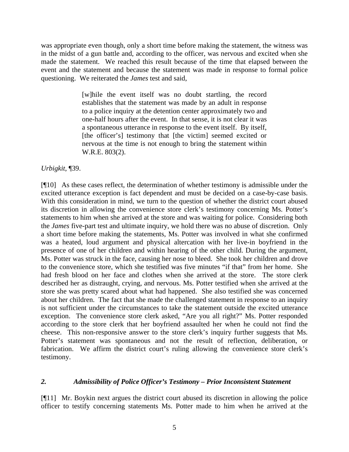was appropriate even though, only a short time before making the statement, the witness was in the midst of a gun battle and, according to the officer, was nervous and excited when she made the statement. We reached this result because of the time that elapsed between the event and the statement and because the statement was made in response to formal police questioning. We reiterated the *James* test and said,

> [w]hile the event itself was no doubt startling, the record establishes that the statement was made by an adult in response to a police inquiry at the detention center approximately two and one-half hours after the event. In that sense, it is not clear it was a spontaneous utterance in response to the event itself. By itself, [the officer's] testimony that [the victim] seemed excited or nervous at the time is not enough to bring the statement within W.R.E. 803(2).

### *Urbigkit*, ¶39.

[¶10] As these cases reflect, the determination of whether testimony is admissible under the excited utterance exception is fact dependent and must be decided on a case-by-case basis. With this consideration in mind, we turn to the question of whether the district court abused its discretion in allowing the convenience store clerk's testimony concerning Ms. Potter's statements to him when she arrived at the store and was waiting for police. Considering both the *James* five-part test and ultimate inquiry, we hold there was no abuse of discretion. Only a short time before making the statements, Ms. Potter was involved in what she confirmed was a heated, loud argument and physical altercation with her live-in boyfriend in the presence of one of her children and within hearing of the other child. During the argument, Ms. Potter was struck in the face, causing her nose to bleed. She took her children and drove to the convenience store, which she testified was five minutes "if that" from her home. She had fresh blood on her face and clothes when she arrived at the store. The store clerk described her as distraught, crying, and nervous. Ms. Potter testified when she arrived at the store she was pretty scared about what had happened. She also testified she was concerned about her children. The fact that she made the challenged statement in response to an inquiry is not sufficient under the circumstances to take the statement outside the excited utterance exception. The convenience store clerk asked, "Are you all right?" Ms. Potter responded according to the store clerk that her boyfriend assaulted her when he could not find the cheese. This non-responsive answer to the store clerk's inquiry further suggests that Ms. Potter's statement was spontaneous and not the result of reflection, deliberation, or fabrication. We affirm the district court's ruling allowing the convenience store clerk's testimony.

### *2. Admissibility of Police Officer's Testimony – Prior Inconsistent Statement*

[¶11] Mr. Boykin next argues the district court abused its discretion in allowing the police officer to testify concerning statements Ms. Potter made to him when he arrived at the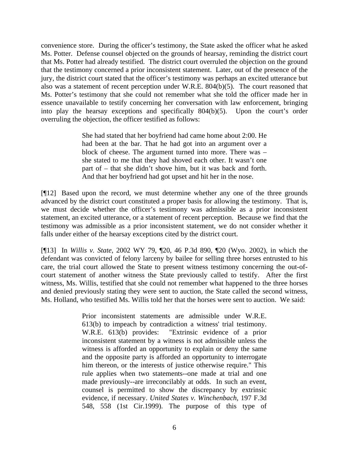convenience store. During the officer's testimony, the State asked the officer what he asked Ms. Potter. Defense counsel objected on the grounds of hearsay, reminding the district court that Ms. Potter had already testified. The district court overruled the objection on the ground that the testimony concerned a prior inconsistent statement. Later, out of the presence of the jury, the district court stated that the officer's testimony was perhaps an excited utterance but also was a statement of recent perception under W.R.E.  $804(b)(5)$ . The court reasoned that Ms. Potter's testimony that she could not remember what she told the officer made her in essence unavailable to testify concerning her conversation with law enforcement, bringing into play the hearsay exceptions and specifically 804(b)(5). Upon the court's order overruling the objection, the officer testified as follows:

> She had stated that her boyfriend had came home about 2:00. He had been at the bar. That he had got into an argument over a block of cheese. The argument turned into more. There was – she stated to me that they had shoved each other. It wasn't one part of – that she didn't shove him, but it was back and forth. And that her boyfriend had got upset and hit her in the nose.

[¶12] Based upon the record, we must determine whether any one of the three grounds advanced by the district court constituted a proper basis for allowing the testimony. That is, we must decide whether the officer's testimony was admissible as a prior inconsistent statement, an excited utterance, or a statement of recent perception. Because we find that the testimony was admissible as a prior inconsistent statement, we do not consider whether it falls under either of the hearsay exceptions cited by the district court.

[¶13] In *Willis v. State*, 2002 WY 79, ¶20, 46 P.3d 890, ¶20 (Wyo. 2002), in which the defendant was convicted of felony larceny by bailee for selling three horses entrusted to his care, the trial court allowed the State to present witness testimony concerning the out-ofcourt statement of another witness the State previously called to testify. After the first witness, Ms. Willis, testified that she could not remember what happened to the three horses and denied previously stating they were sent to auction, the State called the second witness, Ms. Holland, who testified Ms. Willis told her that the horses were sent to auction. We said:

> Prior inconsistent statements are admissible under W.R.E. 613(b) to impeach by contradiction a witness' trial testimony. W.R.E. 613(b) provides: "Extrinsic evidence of a prior inconsistent statement by a witness is not admissible unless the witness is afforded an opportunity to explain or deny the same and the opposite party is afforded an opportunity to interrogate him thereon, or the interests of justice otherwise require." This rule applies when two statements--one made at trial and one made previously--are irreconcilably at odds. In such an event, counsel is permitted to show the discrepancy by extrinsic evidence, if necessary. *United States v. Winchenbach*, 197 F.3d 548, 558 (1st Cir.1999). The purpose of this type of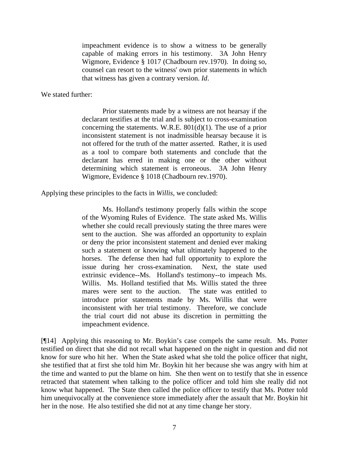impeachment evidence is to show a witness to be generally capable of making errors in his testimony. 3A John Henry Wigmore, Evidence § 1017 (Chadbourn rev.1970). In doing so, counsel can resort to the witness' own prior statements in which that witness has given a contrary version. *Id*.

We stated further:

Prior statements made by a witness are not hearsay if the declarant testifies at the trial and is subject to cross-examination concerning the statements. W.R.E. 801(d)(1). The use of a prior inconsistent statement is not inadmissible hearsay because it is not offered for the truth of the matter asserted. Rather, it is used as a tool to compare both statements and conclude that the declarant has erred in making one or the other without determining which statement is erroneous. 3A John Henry Wigmore, Evidence § 1018 (Chadbourn rev.1970).

Applying these principles to the facts in *Willis*, we concluded:

Ms. Holland's testimony properly falls within the scope of the Wyoming Rules of Evidence. The state asked Ms. Willis whether she could recall previously stating the three mares were sent to the auction. She was afforded an opportunity to explain or deny the prior inconsistent statement and denied ever making such a statement or knowing what ultimately happened to the horses. The defense then had full opportunity to explore the issue during her cross-examination. Next, the state used extrinsic evidence--Ms. Holland's testimony--to impeach Ms. Willis. Ms. Holland testified that Ms. Willis stated the three mares were sent to the auction. The state was entitled to introduce prior statements made by Ms. Willis that were inconsistent with her trial testimony. Therefore, we conclude the trial court did not abuse its discretion in permitting the impeachment evidence.

[¶14] Applying this reasoning to Mr. Boykin's case compels the same result. Ms. Potter testified on direct that she did not recall what happened on the night in question and did not know for sure who hit her. When the State asked what she told the police officer that night, she testified that at first she told him Mr. Boykin hit her because she was angry with him at the time and wanted to put the blame on him. She then went on to testify that she in essence retracted that statement when talking to the police officer and told him she really did not know what happened. The State then called the police officer to testify that Ms. Potter told him unequivocally at the convenience store immediately after the assault that Mr. Boykin hit her in the nose. He also testified she did not at any time change her story.